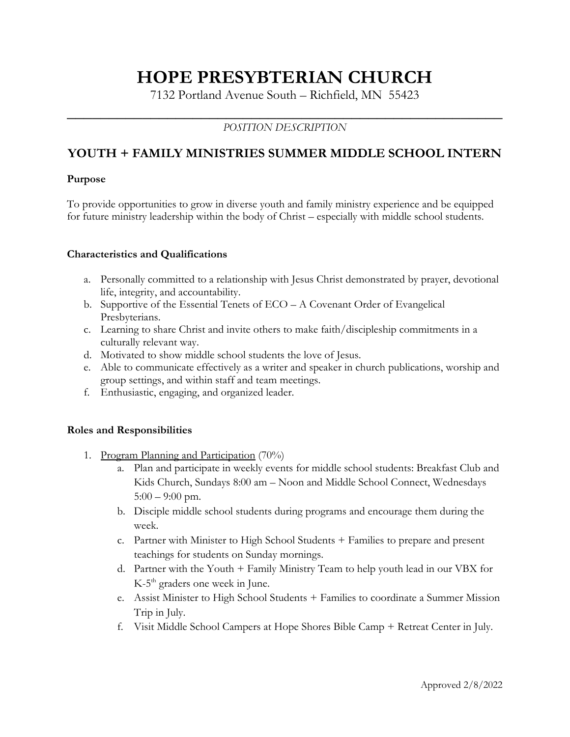# **HOPE PRESYBTERIAN CHURCH**

7132 Portland Avenue South – Richfield, MN 55423

## **\_\_\_\_\_\_\_\_\_\_\_\_\_\_\_\_\_\_\_\_\_\_\_\_\_\_\_\_\_\_\_\_\_\_\_\_\_\_\_\_\_\_\_\_\_\_\_\_\_\_\_\_** *POSITION DESCRIPTION*

## **YOUTH + FAMILY MINISTRIES SUMMER MIDDLE SCHOOL INTERN**

#### **Purpose**

To provide opportunities to grow in diverse youth and family ministry experience and be equipped for future ministry leadership within the body of Christ – especially with middle school students.

#### **Characteristics and Qualifications**

- a. Personally committed to a relationship with Jesus Christ demonstrated by prayer, devotional life, integrity, and accountability.
- b. Supportive of the Essential Tenets of ECO A Covenant Order of Evangelical Presbyterians.
- c. Learning to share Christ and invite others to make faith/discipleship commitments in a culturally relevant way.
- d. Motivated to show middle school students the love of Jesus.
- e. Able to communicate effectively as a writer and speaker in church publications, worship and group settings, and within staff and team meetings.
- f. Enthusiastic, engaging, and organized leader.

### **Roles and Responsibilities**

- 1. Program Planning and Participation (70%)
	- a. Plan and participate in weekly events for middle school students: Breakfast Club and Kids Church, Sundays 8:00 am – Noon and Middle School Connect, Wednesdays  $5:00 - 9:00$  pm.
	- b. Disciple middle school students during programs and encourage them during the week.
	- c. Partner with Minister to High School Students + Families to prepare and present teachings for students on Sunday mornings.
	- d. Partner with the Youth + Family Ministry Team to help youth lead in our VBX for  $K-5<sup>th</sup>$  graders one week in June.
	- e. Assist Minister to High School Students + Families to coordinate a Summer Mission Trip in July.
	- f. Visit Middle School Campers at Hope Shores Bible Camp + Retreat Center in July.